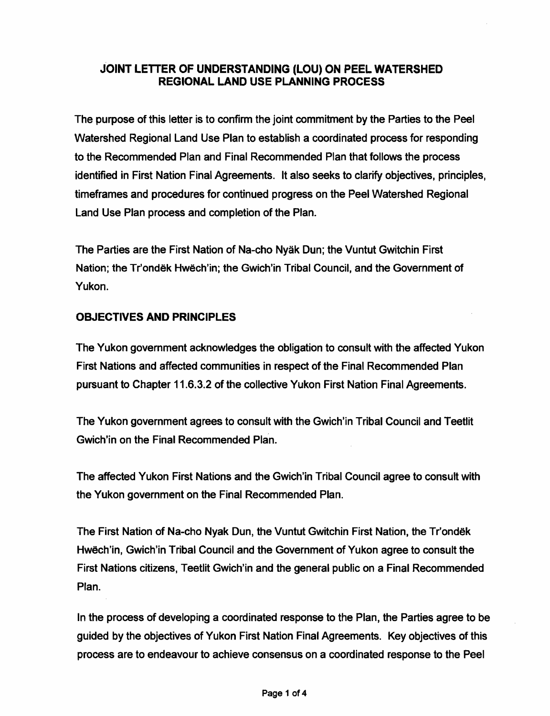# JOINT LETTER OF UNDERSTANDING (LOU) ON PEEL WATERSHED REGIONAL LAND USE PLANNING PROCESS

The purpose of this letter is to confirm the joint commitment by the Parties to the Peel Watershed Regional Land Use Plan to establish a coordinated process for responding to the Recommended Plan and Final Recommended Plan that follows the process identified in First Nation Final Agreements. It also seeks to clarify objectives, principles, timeframes and procedures for continued progress on the Peel Watershed Regional Land Use Plan process and completion of the Plan.

The Parties are the First Nation of Na-cho Nyak Dun; the Vuntut Gwitchin First Nation; the Tr'ondek Hwech'in; the Gwich'in Tribal Council, and the Government of Yukon.

# OBJECTIVES AND PRINCIPLES

The Yukon govemment acknowledges the obligation to consult with the affected Yukon First Nations and affected communities in respect of the Final Recommended Plan pursuant to Chapter 11.6.3.2 of the collective Yukon First Nation Final Agreements.

The Yukon government agrees to consult with the Gwich'in Tribal Council and Teetlit Gwich'in on the Final Recommended Plan.

The affected Yukon First Nations and the Gwich'in Tribal Council agree to consult with the Yukon government on the Final Recommended Plan.

The First Nation of Na-cho Nyak Dun, the Vuntut Gwitchin First Nation, the Tr'ondek Hwech'in, Gwich'in Tribal Council and the Government of Yukon agree to consult the First Nations citizens, Teetlit Gwich'in and the general public on a Final Recommended Plan.

In the process of developing a coordinated response to the Plan, the Parties agree to be guided by the objectives of Yukon First Nation Final Agreements. Key objectives of this process are to endeavour to achieve consensus on a coordinated response to the Peel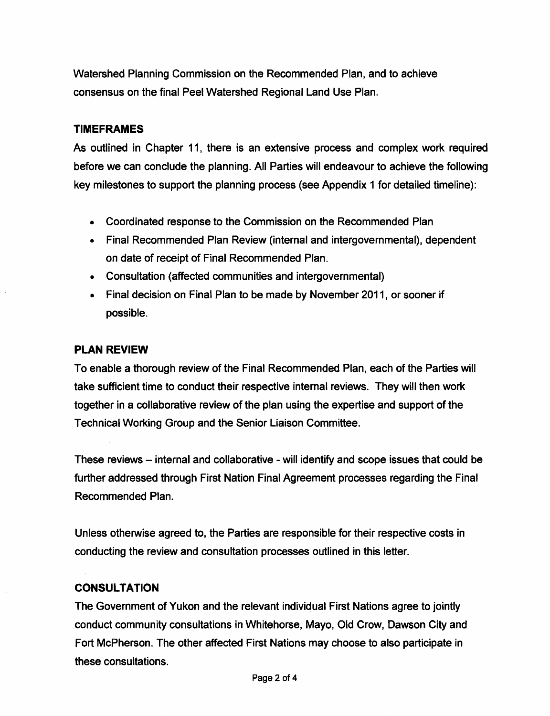Watershed Planning Commission on the Recommended Plan, and to achieve consensus on the final Peel Watershed Regional Land Use Plan.

## TIMEFRAMES

As outlined in Chapter 11, there is an extensive process and complex work required before we can conclude the planning. All Parties will endeavour to achieve the following key milestones to support the planning process (see Appendix 1 for detailed timeline):

- Coordinated response to the Commission on the Recommended Plan
- Final Recommended Plan Review (internal and intergovernmental), dependent on date of receipt of Final Recommended Plan.
- Consultation (affected communities and intergovernmental)
- Final decision on Final Plan to be made by November 2011, or sooner if possible.

## PLAN REVIEW

To enable a thorough review of the Final Recommended Plan, each of the Parties will take sufficient time to conduct their respective internal reviews. They will then work together in a collaborative review of the plan using the expertise and support of the Technical Working Group and the Senior Liaison Committee.

These reviews – internal and collaborative - will identify and scope issues that could be further addressed through First Nation Final Agreement processes regarding the Final Recommended Plan.

Unless otherwise agreed to, the Parties are responsible for their respective costs in conducting the review and consultation processes outlined in this letter.

### **CONSULTATION**

The Government of Yukon and the relevant individual First Nations agree to jointly conduct community consultations in Whitehorse, Mayo, Old Crow, Dawson City and Fort McPherson. The other affected First Nations may choose to also participate in these consultations.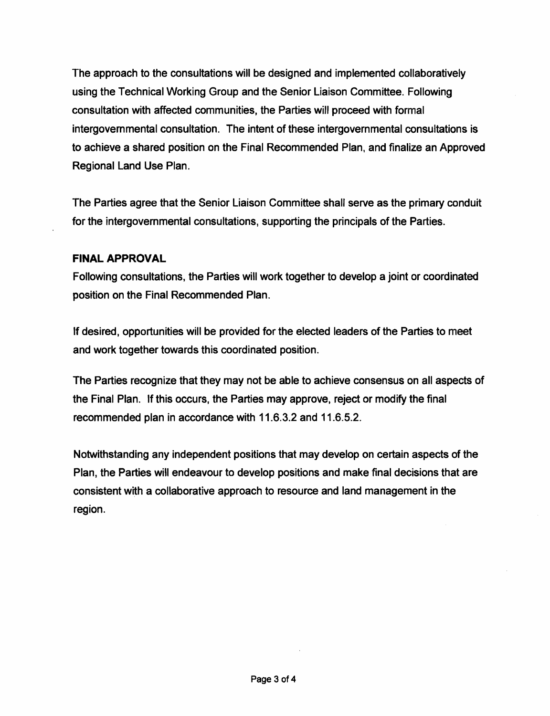The approach to the consultations will be designed and implemented collaboratively using the Technical Working Group and the Senior Liaison Committee. Following consultation with affected communities, the Parties will proceed with formal intergovemmental consultation. The intent of these intergovernmental consultations is to achieve a shared position on the Final Recommended Plan, and finalize an Approved Regional Land Use Plan.

The Parties agree that the Senior Liaison Committee shall serve as the primary conduit for the intergovernmental consultations, supporting the principals of the Parties.

## FINAL APPROVAL

Following consultations, the Parties will work together to develop a joint or coordinated position on the Final Recommended Plan.

If desired, opportunities will be provided for the elected leaders of the Parties to meet and work together towards this coordinated position.

The Parties recognize that they may not be able to achieve consensus on all aspects of the Final Plan. If this occurs, the Parties may approve, reject or modify the final recommended plan in accordance with 11.6.3.2 and 11.6.5.2.

Notwithstanding any independent positions that may develop on certain aspects of the Plan, the Parties will endeavour to develop positions and make final decisions that are consistent with a collaborative approach to resource and land management in the region.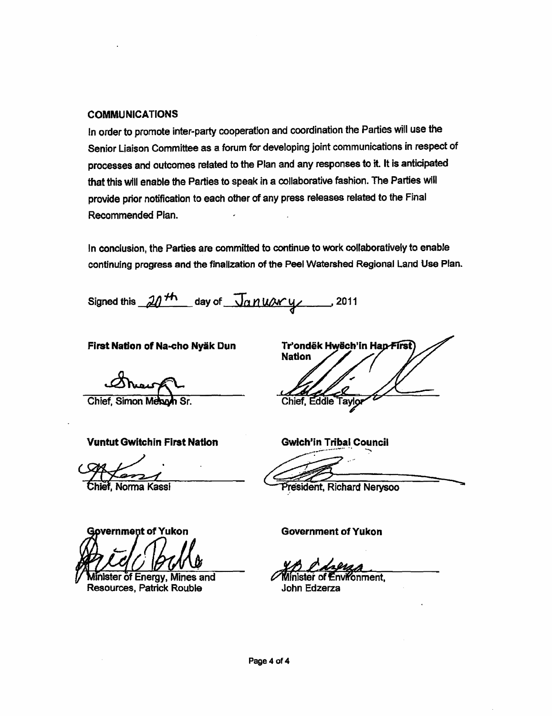#### COMMUNICATIONS

In order to promote inter-party cooperation and coordination the Parties will use the Senior Liaison Committee as a forum for developing joint communications in respect of processes and outcomes related to the Plan and any responses to it. It is anticipated that this will enable the Parties to speak in a collaborative fashion. The Parties will provide prior notification to each other of any press releases related to the Final Recommended Plan.

In conclusion, the Parties are committed to continue to work collaboratively to enable continuing progress and the finalization of the Peel Watershed Regional Land Use Plan.

Signed this  $\mathcal{M}^{th}$  day of  $\sqrt{\mathcal{M}^{\prime}}$  and  $\mathcal{M}^{2}$  , 2011

First Nation of Na-cho Nyäk Dun

Chief. Simon Melayh Sr.

Vuntut Gwitchin First Nation Gwich'in Tribal Council

overnment of Yukon

Minister of Energy, Mines and **Resources, Patrick Rouble** 

Tr'ondëk Hwëch'in Han-First **Nation** Chief, Eddie Taylo

and Communistration.<br>Chief, Norma Kassi President, Richard Nerysoo

Government of Yukon

onment.

John Edzerza